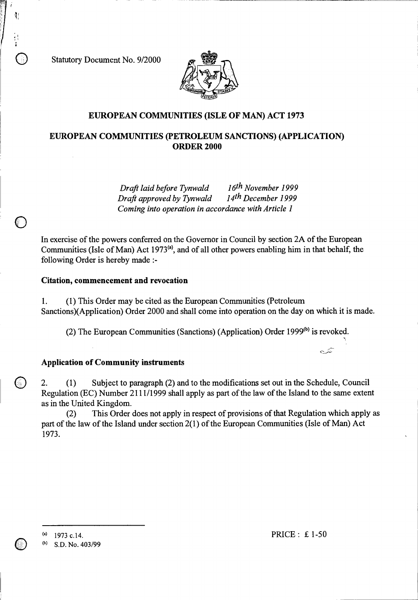Statutory Document No. 9/2000



## **EUROPEAN COMMUNITIES (ISLE OF MAN) ACT 1973**

# **EUROPEAN COMMUNITIES (PETROLEUM SANCTIONS) (APPLICATION) ORDER 2000**

*Draft laid before Tynwald 16th November 1999 Draft approved by Tynwald Coming into operation in accordance with Article 1* 

In exercise of the powers conferred on the Governor in Council by section 2A of the European Communities (Isle of Man) Act 1973<sup>(a)</sup>, and of all other powers enabling him in that behalf, the following Order is hereby made :-

## **Citation, commencement and revocation**

1. (1) This Order may be cited as the European Communities (Petroleum Sanctions)(Application) Order 2000 and shall come into operation on the day on which it is made.

(2) The European Communities (Sanctions) (Application) Order 1999 $^{(b)}$  is revoked.

## **Application of Community instruments**

2. (1) Subject to paragraph (2) and to the modifications set out in the Schedule, Council Regulation (EC) Number 2111/1999 shall apply as part of the law of the Island to the same extent as in the United Kingdom.

(2) This Order does not apply in respect of provisions of that Regulation which apply as part of the law of the Island under section 2(1) of the European Communities (Isle of Man) Act 1973.

(b) S.D. No. 403/99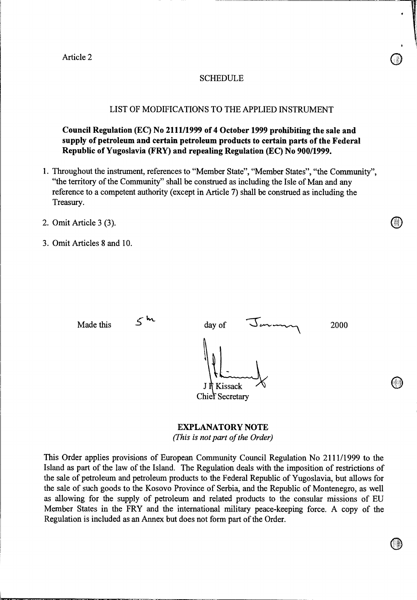### SCHEDULE

## LIST OF MODIFICATIONS TO THE APPLIED INSTRUMENT

**Council Regulation (EC) No 2111/1999 of 4 October 1999 prohibiting the sale and supply of petroleum and certain petroleum products to certain parts of the Federal Republic of Yugoslavia (FRY) and repealing Regulation (EC) No 900/1999.** 

- 1. Throughout the instrument, references to "Member State", "Member States", "the Community", "the territory of the Community" shall be construed as including the Isle of Man and any reference to a competent authority (except in Article 7) shall be construed as including the Treasury.
- 2. Omit Article 3 (3).
- 3. Omit Articles 8 and 10.

Made this  $\frac{3}{2000}$  day of  $\frac{3}{2000}$ J R Kissack **Chief Secretary** 

> **EXPLANATORY NOTE**  *(This is not part of the Order)*

This Order applies provisions of European Community Council Regulation No 2111/1999 to the Island as part of the law of the Island. The Regulation deals with the imposition of restrictions of the sale of petroleum and petroleum products to the Federal Republic of Yugoslavia, but allows for the sale of such goods to the Kosovo Province of Serbia, and the Republic of Montenegro, as well as allowing for the supply of petroleum and related products to the consular missions of EU Member States in the FRY and the international military peace-keeping force. A copy of the Regulation is included as an Annex but does not form part of the Order.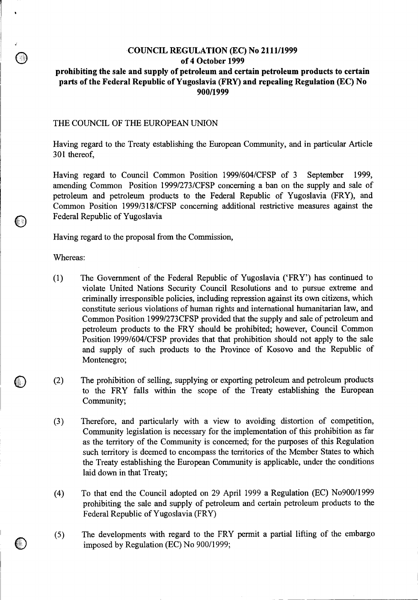# **COUNCIL REGULATION (EC) No 2111/1999 of 4 October 1999**

# **prohibiting the sale and supply of petroleum and certain petroleum products to certain parts of the Federal Republic of Yugoslavia (FRY) and repealing Regulation (EC) No 900/1999**

#### THE COUNCIL OF THE EUROPEAN UNION

Having regard to the Treaty establishing the European Community, and in particular Article 301 thereof,

Having regard to Council Common Position 1999/604/CFSP of 3 September 1999, amending Common Position 1999/273/CFSP concerning a ban on the supply and sale of petroleum and petroleum products to the Federal Republic of Yugoslavia (FRY), and Common Position 1999/318/CFSP concerning additional restrictive measures against the Federal Republic of Yugoslavia

Having regard to the proposal from the Commission,

Whereas:

- (1) The Government of the Federal Republic of Yugoslavia ('FRY') has continued to violate United Nations Security Council Resolutions and to pursue extreme and criminally irresponsible policies, including repression against its own citizens, which constitute serious violations of human rights and international humanitarian law, and Common Position 1999/273CFSP provided that the supply and sale of petroleum and petroleum products to the FRY should be prohibited; however, Council Common Position 1999/604/CFSP provides that that prohibition should not apply to the sale and supply of such products to the Province of Kosovo and the Republic of Montenegro;
- (2) The prohibition of selling, supplying or exporting petroleum and petroleum products to the FRY falls within the scope of the Treaty establishing the European Community;
- (3) Therefore, and particularly with a view to avoiding distortion of competition, Community legislation is necessary for the implementation of this prohibition as far as the territory of the Community is concerned; for the purposes of this Regulation such territory is deemed to encompass the territories of the Member States to which the Treaty establishing the European Community is applicable, under the conditions laid down in that Treaty;
- (4) To that end the Council adopted on 29 April 1999 a Regulation (EC) No900/1999 prohibiting the sale and supply of petroleum and certain petroleum products to the Federal Republic of Yugoslavia (FRY)
- $(5)$ The developments with regard to the FRY permit a partial lifting of the embargo imposed by Regulation (EC) No 900/1999;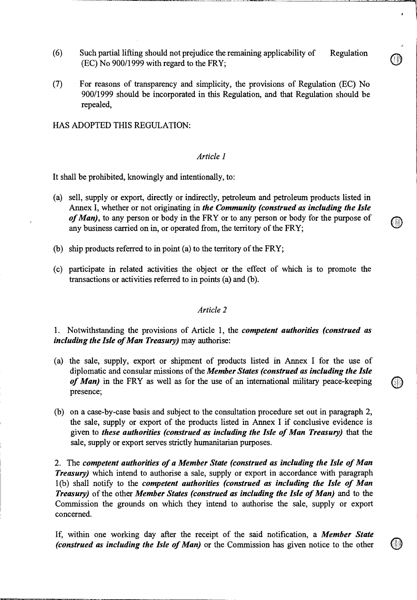- (6) Such partial lifting should not prejudice the remaining applicability of Regulation (EC) No 900/1999 with regard to the FRY;
- (7) For reasons of transparency and simplicity, the provisions of Regulation (EC) No 900/1999 should be incorporated in this Regulation, and that Regulation should be repealed,

HAS ADOPTED THIS REGULATION:

## *Article 1*

It shall be prohibited, knowingly and intentionally, to:

- (a) sell, supply or export, directly or indirectly, petroleum and petroleum products listed in Annex I, whether or not originating in *the Community (construed as including the Isle of Man),* to any person or body in the FRY or to any person or body for the purpose of any business carried on in, or operated from, the territory of the FRY;
- (b) ship products referred to in point (a) to the territory of the FRY;
- (c) participate in related activities the object or the effect of which is to promote the transactions or activities referred to in points (a) and (b).

### *Article 2*

1. Notwithstanding the provisions of Article 1, the *competent authorities (construed as including the Isle of Man Treasury)* may authorise:

- (a) the sale, supply, export or shipment of products listed in Annex I for the use of diplomatic and consular missions of the *Member States (construed as including the Isle of Man)* in the FRY as well as for the use of an international military peace-keeping presence;
- (b) on a case-by-case basis and subject to the consultation procedure set out in paragraph 2, the sale, supply or export of the products listed in Annex I if conclusive evidence is given to *these authorities (construed as including the Isle of Man Treasury)* that the sale, supply or export serves strictly humanitarian purposes.

2. The *competent authorities of a Member State (construed as including the Isle of Man Treasury*) which intend to authorise a sale, supply or export in accordance with paragraph 1(b) shall notify to the *competent authorities (construed as including the Isle of Man Treasury)* of the other *Member States (construed as including the Isle of Man)* and to the Commission the grounds on which they intend to authorise the sale, supply or export concerned.

If, within one working day after the receipt of the said notification, a *Member State (construed as including the Isle of Man)* or the Commission has given notice to the other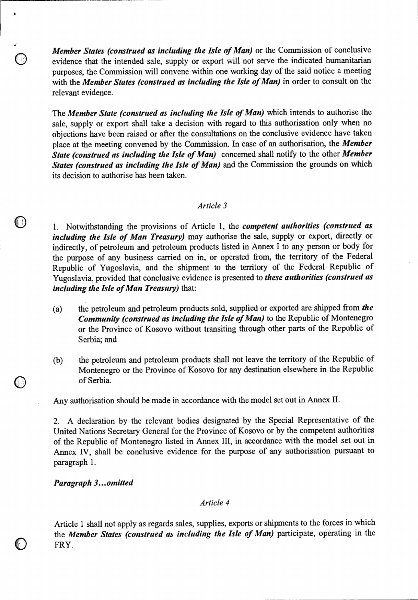*Member States (construed as including the Isle of Man)* or the Commission of conclusive evidence that the intended sale, supply or export will not serve the indicated humanitarian purposes, the Commission will convene within one working day of the said notice a meeting with the *Member States (construed as including the Isle of Man)* in order to consult on the relevant evidence.

The *Member State (construed as including the Isle of Man)* which intends to authorise the sale, supply or export shall take a decision with regard to this authorisation only when no objections have been raised or after the consultations on the conclusive evidence have taken place at the meeting convened by the Commission. In case of an authorisation, the *Member State (construed as including the Isle of Man)* concerned shall notify to the other *Member States (construed as including the Isle of Man)* and the Commission the grounds on which its decision to authorise has been taken.

### *Article 3*

0 1. Notwithstanding the provisions of Article 1, the *competent authorities (construed as including the Isle of Man Treasury)* may authorise the sale, supply or export, directly or indirectly, of petroleum and petroleum products listed in Annex I to any person or body for the purpose of any business carried on in, or operated from, the territory of the Federal Republic of Yugoslavia, and the shipment to the territory of the Federal Republic of Yugoslavia, provided that conclusive evidence is presented to *these authorities (construed as including the Isle of Man Treasury)* that:

- (a) the petroleum and petroleum products sold, supplied or exported are shipped from *the Community (construed as including the Isle of Man)* to the Republic of Montenegro or the Province of Kosovo without transiting through other parts of the Republic of Serbia; and
- (b) the petroleum and petroleum products shall not leave the territory of the Republic of Montenegro or the Province of Kosovo for any destination elsewhere in the Republic of Serbia.

Any authorisation should be made in accordance with the model set out in Annex II.

2. A declaration by the relevant bodies designated by the Special Representative of the United Nations Secretary General for the Province of Kosovo or by the competent authorities of the Republic of Montenegro listed in Annex III, in accordance with the model set out in Annex IV, shall be conclusive evidence for the purpose of any authorisation pursuant to paragraph 1.

*Paragraph 3... omitted* 

 $\bullet$ 

## *Article 4*

Article 1 shall not apply as regards sales, supplies, exports or shipments to the forces in which the *Member States (construed as including the Isle of Man)* participate, operating in the FRY.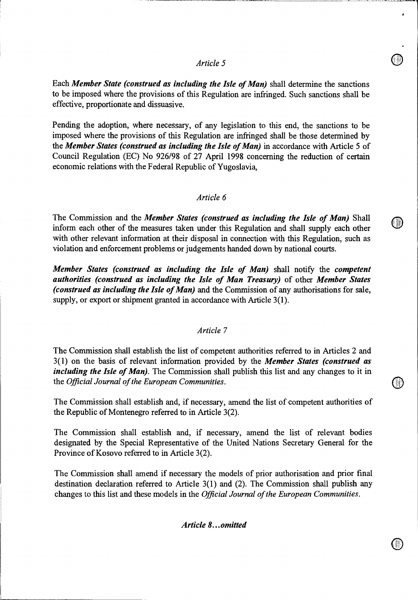## *Article 5*

Each *Member State (construed as including the Isle of Man)* shall determine the sanctions to be imposed where the provisions of this Regulation are infringed. Such sanctions shall be effective, proportionate and dissuasive.

Pending the adoption, where necessary, of any legislation to this end, the sanctions to be imposed where the provisions of this Regulation are infringed shall be those determined by the *Member States (construed as including the Isle of Man)* in accordance with Article 5 of Council Regulation (EC) No 926/98 of 27 April 1998 concerning the reduction of certain economic relations with the Federal Republic of Yugoslavia,

### *Article 6*

The Commission and the *Member States (construed as including the Isle of Man)* Shall inform each other of the measures taken under this Regulation and shall supply each other with other relevant information at their disposal in connection with this Regulation, such as violation and enforcement problems or judgements handed down by national courts.

*Member States (construed as including the Isle of Man)* shall notify the *competent authorities (construed as including the Isle of Man Treasury)* of other *Member States (construed as including the Isle of Man)* and the Commission of any authorisations for sale, supply, or export or shipment granted in accordance with Article 3(1).

#### *Article 7*

The Commission shall establish the list of competent authorities referred to in Articles 2 and 3(1) on the basis of relevant information provided by the *Member States (construed as including the Isle of Man*). The Commission shall publish this list and any changes to it in the *Official Journal of the European Communities.* 

The Commission shall establish and, if necessary, amend the list of competent authorities of the Republic of Montenegro referred to in Article 3(2).

The Commission shall establish and, if necessary, amend the list of relevant bodies designated by the Special Representative of the United Nations Secretary General for the Province of Kosovo referred to in Article 3(2).

The Commission shall amend if necessary the models of prior authorisation and prior final destination declaration referred to Article 3(1) and (2). The Commission shall publish any changes to this list and these models in the *Official Journal of the European Communities.* 

*Article 8...omitted*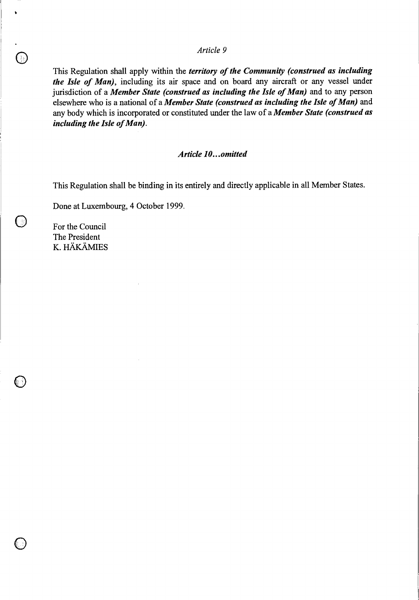## *Article 9*

This Regulation shall apply within the *territory of the Community (construed as including the Isle of Man),* including its air space and on board any aircraft or any vessel under jurisdiction of a *Member State (construed as including the Isle of Man)* and to any person elsewhere who is a national of a *Member State (construed as including the Isle of Man)* and any body which is incorporated or constituted under the law of a *Member State (construed as including the Isle of Man).* 

## *Article 10...omitted*

This Regulation shall be binding in its entirely and directly applicable in all Member States.

Done at Luxembourg, 4 October 1999.

For the Council The President K. HAKAMIES

80

 $\bigcirc$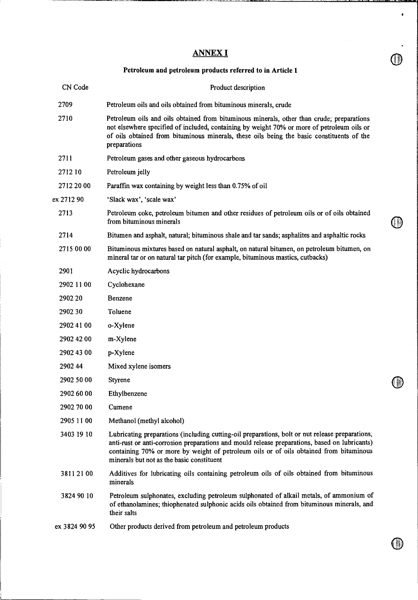# ANNEX I

 $\bullet$ 

i

# **Petroleum and petroleum products referred to in Article 1**

| CN Code       | Product description                                                                                                                                                                                                                                                                                                                     |  |  |
|---------------|-----------------------------------------------------------------------------------------------------------------------------------------------------------------------------------------------------------------------------------------------------------------------------------------------------------------------------------------|--|--|
| 2709          | Petroleum oils and oils obtained from bituminous minerals, crude                                                                                                                                                                                                                                                                        |  |  |
| 2710          | Petroleum oils and oils obtained from bituminous minerals, other than crude; preparations<br>not elsewhere specified of included, containing by weight 70% or more of petroleum oils or<br>of oils obtained from bituminous minerals, these oils being the basic constituents of the<br>preparations                                    |  |  |
| 2711          | Petroleum gases and other gaseous hydrocarbons                                                                                                                                                                                                                                                                                          |  |  |
| 271210        | Petroleum jelly                                                                                                                                                                                                                                                                                                                         |  |  |
| 2712 20 00    | Paraffin wax containing by weight less than 0.75% of oil                                                                                                                                                                                                                                                                                |  |  |
| ex 2712 90    | 'Slack wax', 'scale wax'                                                                                                                                                                                                                                                                                                                |  |  |
| 2713          | Petroleum coke, petroleum bitumen and other residues of petroleum oils or of oils obtained<br>from bituminous minerals                                                                                                                                                                                                                  |  |  |
| 2714          | Bitumen and asphalt, natural; bituminous shale and tar sands; asphalites and asphaltic rocks                                                                                                                                                                                                                                            |  |  |
| 2715 00 00    | Bituminous mixtures based on natural asphalt, on natural bitumen, on petroleum bitumen, on<br>mineral tar or on natural tar pitch (for example, bituminous mastics, cutbacks)                                                                                                                                                           |  |  |
| 2901          | Acyclic hydrocarbons                                                                                                                                                                                                                                                                                                                    |  |  |
| 2902 11 00    | Cyclohexane                                                                                                                                                                                                                                                                                                                             |  |  |
| 2902 20       | Benzene                                                                                                                                                                                                                                                                                                                                 |  |  |
| 2902 30       | Toluene                                                                                                                                                                                                                                                                                                                                 |  |  |
| 2902 41 00    | o-Xylene                                                                                                                                                                                                                                                                                                                                |  |  |
| 2902 42 00    | m-Xylene                                                                                                                                                                                                                                                                                                                                |  |  |
| 2902 43 00    | p-Xylene                                                                                                                                                                                                                                                                                                                                |  |  |
| 290244        | Mixed xylene isomers                                                                                                                                                                                                                                                                                                                    |  |  |
| 2902 50 00    | Styrene                                                                                                                                                                                                                                                                                                                                 |  |  |
| 2902 60 00    | Ethylbenzene                                                                                                                                                                                                                                                                                                                            |  |  |
| 2902 70 00    | Cumene                                                                                                                                                                                                                                                                                                                                  |  |  |
| 2905 11 00    | Methanol (methyl alcohol)                                                                                                                                                                                                                                                                                                               |  |  |
| 3403 19 10    | Lubricating preparations (including cutting-oil preparations, bolt or nut release preparations,<br>anti-rust or anti-corrosion preparations and mould release preparations, based on lubricants)<br>containing 70% or more by weight of petroleum oils or of oils obtained from bituminous<br>minerals but not as the basic constituent |  |  |
| 38112100      | Additives for lubricating oils containing petroleum oils of oils obtained from bituminous<br>minerals                                                                                                                                                                                                                                   |  |  |
| 3824 90 10    | Petroleum sulphonates, excluding petroleum sulphonated of alkail metals, of ammonium of<br>of ethanolamines; thiophenated sulphonic acids oils obtained from bituminous minerals, and<br>their salts                                                                                                                                    |  |  |
| ex 3824 90 95 | Other products derived from petroleum and petroleum products                                                                                                                                                                                                                                                                            |  |  |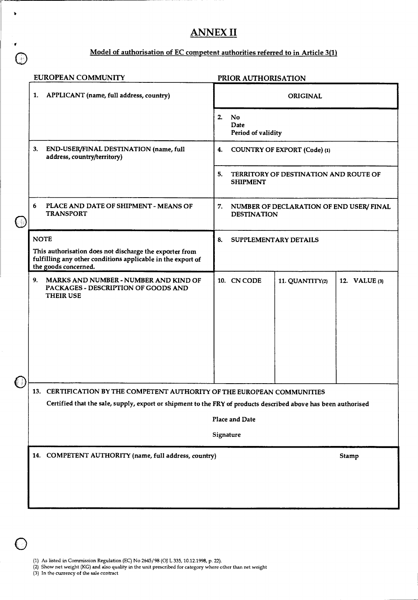# **ANNEX II**

# **Model of authorisation of EC competent authorities referred to in Article 3(1)**

|              | <b>EUROPEAN COMMUNITY</b>                                                                                                                                                                  | PRIOR AUTHORISATION                                                  |  |  |  |  |  |
|--------------|--------------------------------------------------------------------------------------------------------------------------------------------------------------------------------------------|----------------------------------------------------------------------|--|--|--|--|--|
|              | APPLICANT (name, full address, country)<br>1.                                                                                                                                              | <b>ORIGINAL</b>                                                      |  |  |  |  |  |
|              |                                                                                                                                                                                            | No<br>2.<br>Date<br>Period of validity                               |  |  |  |  |  |
|              | END-USER/FINAL DESTINATION (name, full<br>3.<br>address, country/territory)                                                                                                                | <b>COUNTRY OF EXPORT (Code) (1)</b><br>4.                            |  |  |  |  |  |
|              |                                                                                                                                                                                            | 5.<br>TERRITORY OF DESTINATION AND ROUTE OF<br><b>SHIPMENT</b>       |  |  |  |  |  |
| $\mathbb{U}$ | 6<br>PLACE AND DATE OF SHIPMENT - MEANS OF<br><b>TRANSPORT</b>                                                                                                                             | 7.<br>NUMBER OF DECLARATION OF END USER/ FINAL<br><b>DESTINATION</b> |  |  |  |  |  |
|              | <b>NOTE</b><br>This authorisation does not discharge the exporter from<br>fulfilling any other conditions applicable in the export of<br>the goods concerned.                              | 8.<br>SUPPLEMENTARY DETAILS                                          |  |  |  |  |  |
|              | MARKS AND NUMBER - NUMBER AND KIND OF<br>9.<br>PACKAGES - DESCRIPTION OF GOODS AND<br><b>THEIR USE</b>                                                                                     | 10. CN CODE<br>11. QUANTITY(2)<br>12. VALUE (3)                      |  |  |  |  |  |
|              |                                                                                                                                                                                            |                                                                      |  |  |  |  |  |
|              | 13. CERTIFICATION BY THE COMPETENT AUTHORITY OF THE EUROPEAN COMMUNITIES<br>Certified that the sale, supply, export or shipment to the FRY of products described above has been authorised |                                                                      |  |  |  |  |  |
|              |                                                                                                                                                                                            | Place and Date                                                       |  |  |  |  |  |
|              |                                                                                                                                                                                            | Signature                                                            |  |  |  |  |  |
|              | 14. COMPETENT AUTHORITY (name, full address, country)                                                                                                                                      | Stamp                                                                |  |  |  |  |  |
|              |                                                                                                                                                                                            |                                                                      |  |  |  |  |  |

- (2) Show net weight (KG) and also quality in the unit prescribed for category where other than net weight
- (3) In the currency of the sale contract

 $\bigcap$ 

 $\bullet$ 

 $\mathcal{C}(\mathbf{r})$ 

 $\mathbb{C}$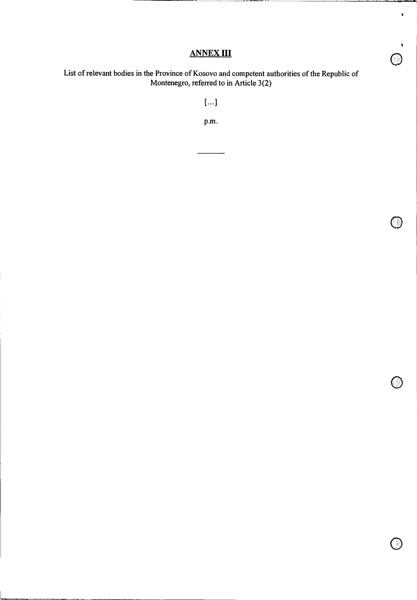# **ANNEX III**

I

 $\hat{\mathbf{r}}$ 

 $\bigcirc$ 

 $\bigcirc$ 

o

List of relevant bodies in the Province of Kosovo and competent authorities of the Republic of Montenegro, referred to in Article 3(2)

[...1

P.m.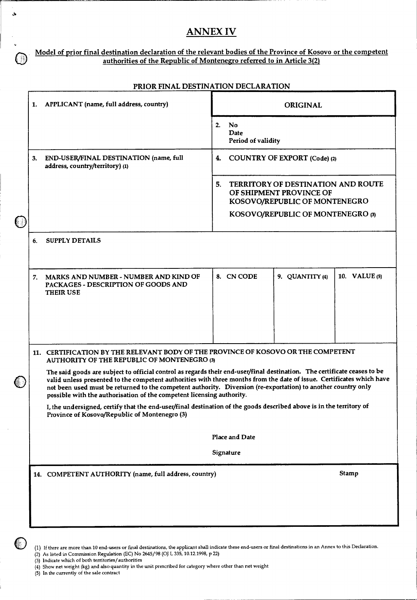# **ANNEX IV**

#### **Model of prior final destination declaration of the relevant bodies of the Province of Kosovo or the competent authorities of the Republic of Montenegro referred to in Article 3(2)**

|            |    | 1. APPLICANT (name, full address, country)                                                                                                                                                                                                                                                                                                                                                                                                  | <b>ORIGINAL</b>                                                                                                                                  |                 |               |  |  |  |
|------------|----|---------------------------------------------------------------------------------------------------------------------------------------------------------------------------------------------------------------------------------------------------------------------------------------------------------------------------------------------------------------------------------------------------------------------------------------------|--------------------------------------------------------------------------------------------------------------------------------------------------|-----------------|---------------|--|--|--|
|            |    |                                                                                                                                                                                                                                                                                                                                                                                                                                             | <b>No</b><br>2.<br>Date<br>Period of validity<br><b>COUNTRY OF EXPORT (Code) (2)</b><br>4.                                                       |                 |               |  |  |  |
|            | 3. | END-USER/FINAL DESTINATION (name, full<br>address, country/territory) (1)                                                                                                                                                                                                                                                                                                                                                                   |                                                                                                                                                  |                 |               |  |  |  |
| $\bigcirc$ |    |                                                                                                                                                                                                                                                                                                                                                                                                                                             | <b>TERRITORY OF DESTINATION AND ROUTE</b><br>5.<br>OF SHIPMENT PROVINCE OF<br>KOSOVO/REPUBLIC OF MONTENEGRO<br>KOSOVO/REPUBLIC OF MONTENEGRO (3) |                 |               |  |  |  |
|            | 6. | <b>SUPPLY DETAILS</b>                                                                                                                                                                                                                                                                                                                                                                                                                       |                                                                                                                                                  |                 |               |  |  |  |
|            | 7. | MARKS AND NUMBER - NUMBER AND KIND OF<br>PACKAGES - DESCRIPTION OF GOODS AND<br><b>THEIR USE</b>                                                                                                                                                                                                                                                                                                                                            | 8. CN CODE                                                                                                                                       | 9. QUANTITY (4) | 10. VALUE (5) |  |  |  |
|            |    |                                                                                                                                                                                                                                                                                                                                                                                                                                             |                                                                                                                                                  |                 |               |  |  |  |
|            |    | 11. CERTIFICATION BY THE RELEVANT BODY OF THE PROVINCE OF KOSOVO OR THE COMPETENT<br>AUTHORITY OF THE REPUBLIC OF MONTENEGRO (3)                                                                                                                                                                                                                                                                                                            |                                                                                                                                                  |                 |               |  |  |  |
| C          |    | The said goods are subject to official control as regards their end-user/final destination. The certificate ceases to be<br>valid unless presented to the competent authorities with three months from the date of issue. Certificates which have<br>not been used must be returned to the competent authority. Diversion (re-exportation) to another country only<br>possible with the authorisation of the competent licensing authority. |                                                                                                                                                  |                 |               |  |  |  |
|            |    | I, the undersigned, certify that the end-user/final destination of the goods described above is in the territory of<br>Province of Kosovo/Republic of Montenegro (3)                                                                                                                                                                                                                                                                        |                                                                                                                                                  |                 |               |  |  |  |
|            |    |                                                                                                                                                                                                                                                                                                                                                                                                                                             | Place and Date                                                                                                                                   |                 |               |  |  |  |
|            |    |                                                                                                                                                                                                                                                                                                                                                                                                                                             | Signature                                                                                                                                        |                 |               |  |  |  |
|            |    | 14. COMPETENT AUTHORITY (name, full address, country)                                                                                                                                                                                                                                                                                                                                                                                       |                                                                                                                                                  |                 | Stamp         |  |  |  |
|            |    |                                                                                                                                                                                                                                                                                                                                                                                                                                             |                                                                                                                                                  |                 |               |  |  |  |
|            |    |                                                                                                                                                                                                                                                                                                                                                                                                                                             |                                                                                                                                                  |                 |               |  |  |  |

#### **PRIMATION DECLARATION**

- (3) Indicate which of both territories/authorities
- (4) Show net weight (kg) and also quantity in the unit prescribed for category where other than net weight

(5) In the currently of the sale contract

ی

 $(\mathbb{R})$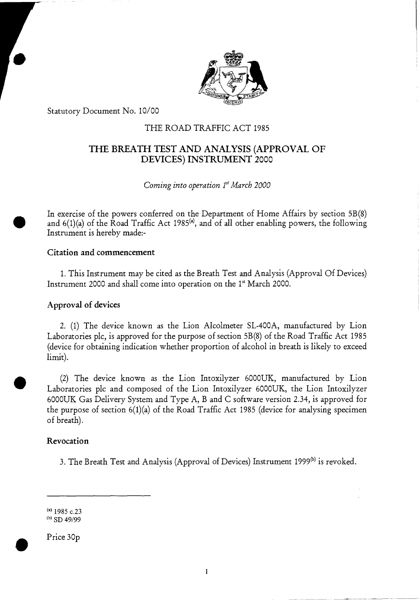

Statutory Document No. 10/00

# THE ROAD TRAFFIC ACT 1985

# THE BREATH TEST AND ANALYSIS (APPROVAL OF DEVICES) INSTRUMENT 2000

*Coming into operation*  $1<sup>st</sup> March 2000$ 

In exercise of the powers conferred on the Department of Home Affairs by section 5B(8) and  $6(1)(a)$  of the Road Traffic Act 1985<sup>(a)</sup>, and of all other enabling powers, the following Instrument is hereby made:-

## Citation and commencement

1. This Instrument may be cited as the Breath Test and Analysis (Approval Of Devices) Instrument 2000 and shall come into operation on the 1<sup>st</sup> March 2000.

# Approval of devices

2. (1) The device known as the Lion Alcolmeter SL-400A, manufactured by Lion Laboratories plc, is approved for the purpose of section 5B(8) of the Road Traffic Act 1985 (device for obtaining indication whether proportion of alcohol in breath is likely to exceed limit).

(2) The device known as the Lion Intoxilyzer 6000UK, manufactured by Lion Laboratories plc and composed of the Lion Intoxilyzer 6000UK, the Lion Intoxilyzer 6000UK Gas Delivery System and Type A, B and C software version 2.34, is approved for the purpose of section 6(1)(a) of the Road Traffic Act 1985 (device for analysing specimen of breath).

## Revocation

 $\bullet$ 

3. The Breath Test and Analysis (Approval of Devices) Instrument 1999<sup>(b)</sup> is revoked.

(a)1985 c.23  $(b)$  SD 49/99

Price 30p

•